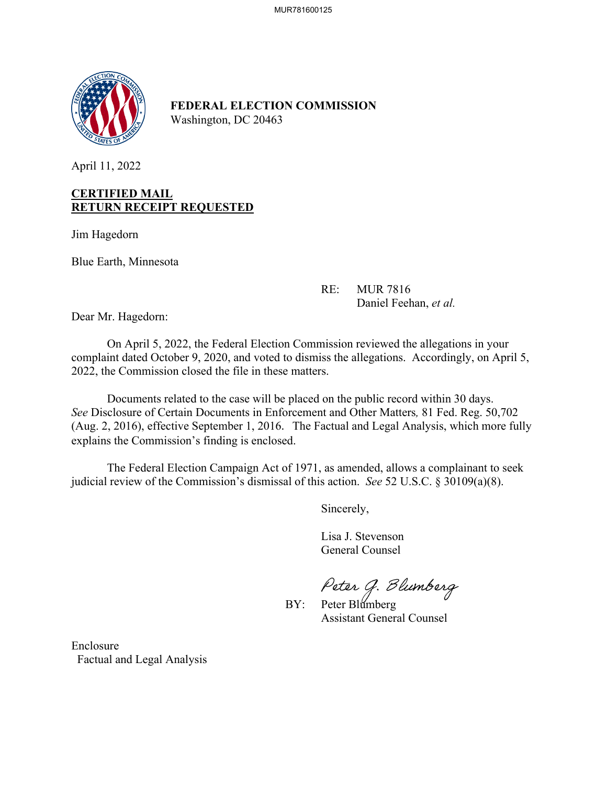

**FEDERAL ELECTION COMMISSION** Washington, DC 20463

April 11, 2022

## **CERTIFIED MAIL RETURN RECEIPT REQUESTED**

Jim Hagedorn

Blue Earth, Minnesota

 RE: MUR 7816 Daniel Feehan, *et al.*

Dear Mr. Hagedorn:

On April 5, 2022, the Federal Election Commission reviewed the allegations in your complaint dated October 9, 2020, and voted to dismiss the allegations. Accordingly, on April 5, 2022, the Commission closed the file in these matters.

Documents related to the case will be placed on the public record within 30 days. *See* Disclosure of Certain Documents in Enforcement and Other Matters*,* 81 Fed. Reg. 50,702 (Aug. 2, 2016), effective September 1, 2016. The Factual and Legal Analysis, which more fully explains the Commission's finding is enclosed.

 The Federal Election Campaign Act of 1971, as amended, allows a complainant to seek judicial review of the Commission's dismissal of this action. *See* 52 U.S.C. § 30109(a)(8).

Sincerely,

 Lisa J. Stevenson General Counsel

Peter G. Blumberg<br>BY: Peter Blumberg

Assistant General Counsel

Enclosure Factual and Legal Analysis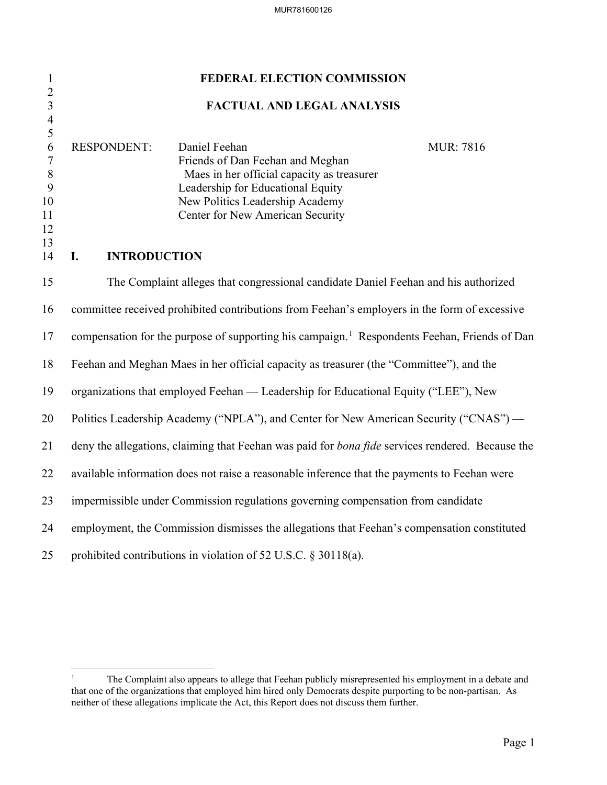| $\mathbf{1}$                              | FEDERAL ELECTION COMMISSION                                                                              |                                                                                                  |                   |  |  |
|-------------------------------------------|----------------------------------------------------------------------------------------------------------|--------------------------------------------------------------------------------------------------|-------------------|--|--|
| $\overline{2}$<br>$\overline{\mathbf{3}}$ | <b>FACTUAL AND LEGAL ANALYSIS</b>                                                                        |                                                                                                  |                   |  |  |
| $\overline{\mathcal{A}}$<br>5             |                                                                                                          |                                                                                                  |                   |  |  |
| 6<br>$\boldsymbol{7}$                     | <b>RESPONDENT:</b>                                                                                       | Daniel Feehan<br>Friends of Dan Feehan and Meghan                                                | <b>MUR</b> : 7816 |  |  |
| $\, 8$                                    |                                                                                                          | Maes in her official capacity as treasurer                                                       |                   |  |  |
| $\mathbf{9}$                              |                                                                                                          | Leadership for Educational Equity                                                                |                   |  |  |
| 10<br>11                                  |                                                                                                          | New Politics Leadership Academy<br>Center for New American Security                              |                   |  |  |
| 12                                        |                                                                                                          |                                                                                                  |                   |  |  |
| 13<br>14                                  | I.<br><b>INTRODUCTION</b>                                                                                |                                                                                                  |                   |  |  |
| 15                                        |                                                                                                          | The Complaint alleges that congressional candidate Daniel Feehan and his authorized              |                   |  |  |
| 16                                        | committee received prohibited contributions from Feehan's employers in the form of excessive             |                                                                                                  |                   |  |  |
| 17                                        | compensation for the purpose of supporting his campaign. <sup>1</sup> Respondents Feehan, Friends of Dan |                                                                                                  |                   |  |  |
| 18                                        | Feehan and Meghan Maes in her official capacity as treasurer (the "Committee"), and the                  |                                                                                                  |                   |  |  |
| 19                                        | organizations that employed Feehan — Leadership for Educational Equity ("LEE"), New                      |                                                                                                  |                   |  |  |
| 20                                        | Politics Leadership Academy ("NPLA"), and Center for New American Security ("CNAS") —                    |                                                                                                  |                   |  |  |
| 21                                        |                                                                                                          | deny the allegations, claiming that Feehan was paid for bona fide services rendered. Because the |                   |  |  |
| 22                                        | available information does not raise a reasonable inference that the payments to Feehan were             |                                                                                                  |                   |  |  |
| 23                                        | impermissible under Commission regulations governing compensation from candidate                         |                                                                                                  |                   |  |  |
| 24                                        | employment, the Commission dismisses the allegations that Feehan's compensation constituted              |                                                                                                  |                   |  |  |
| 25                                        |                                                                                                          | prohibited contributions in violation of 52 U.S.C. § 30118(a).                                   |                   |  |  |

<span id="page-1-0"></span><sup>&</sup>lt;sup>1</sup> The Complaint also appears to allege that Feehan publicly misrepresented his employment in a debate and that one of the organizations that employed him hired only Democrats despite purporting to be non-partisan. As neither of these allegations implicate the Act, this Report does not discuss them further.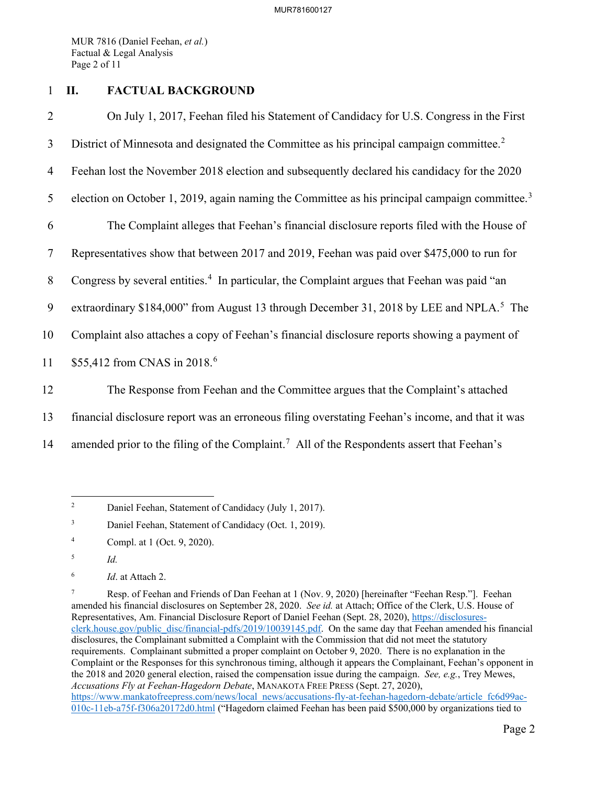MUR 7816 (Daniel Feehan, *et al.*) Factual & Legal Analysis Page 2 of 11

## 1 **II. FACTUAL BACKGROUND**

2 On July 1, 2017, Feehan filed his Statement of Candidacy for U.S. Congress in the First 3 District of Minnesota and designated the Committee as his principal campaign committee.<sup>[2](#page-2-0)</sup> 4 Feehan lost the November 2018 election and subsequently declared his candidacy for the 2020 5 election on October 1, 2019, again naming the Committee as his principal campaign committee.<sup>[3](#page-2-1)</sup> 6 The Complaint alleges that Feehan's financial disclosure reports filed with the House of 7 Representatives show that between 2017 and 2019, Feehan was paid over \$475,000 to run for 8 Congress by several entities.<sup>[4](#page-2-2)</sup> In particular, the Complaint argues that Feehan was paid "an 9 extraordinary \$184,000" from August 13 through December 31, 2018 by LEE and NPLA.<sup>[5](#page-2-3)</sup> The 10 Complaint also attaches a copy of Feehan's financial disclosure reports showing a payment of 11 \$55,412 from CNAS in 2018.<sup>[6](#page-2-4)</sup> 12 The Response from Feehan and the Committee argues that the Complaint's attached 13 financial disclosure report was an erroneous filing overstating Feehan's income, and that it was

14 amended prior to the filing of the Complaint.<sup>[7](#page-2-5)</sup> All of the Respondents assert that Feehan's

<span id="page-2-0"></span><sup>2</sup> Daniel Feehan, Statement of Candidacy (July 1, 2017).

<span id="page-2-1"></span><sup>3</sup> Daniel Feehan, Statement of Candidacy (Oct. 1, 2019).

<span id="page-2-2"></span><sup>4</sup> Compl. at 1 (Oct. 9, 2020).

<span id="page-2-3"></span><sup>5</sup> *Id.*

<span id="page-2-4"></span><sup>6</sup> *Id*. at Attach 2.

<span id="page-2-5"></span><sup>7</sup> Resp. of Feehan and Friends of Dan Feehan at 1 (Nov. 9, 2020) [hereinafter "Feehan Resp."]. Feehan amended his financial disclosures on September 28, 2020. *See id.* at Attach; Office of the Clerk, U.S. House of Representatives, Am. Financial Disclosure Report of Daniel Feehan (Sept. 28, 2020), [https://disclosures](https://disclosures-clerk.house.gov/public_disc/financial-pdfs/2019/10039145.pdf)[clerk.house.gov/public\\_disc/financial-pdfs/2019/10039145.pdf.](https://disclosures-clerk.house.gov/public_disc/financial-pdfs/2019/10039145.pdf) On the same day that Feehan amended his financial disclosures, the Complainant submitted a Complaint with the Commission that did not meet the statutory requirements. Complainant submitted a proper complaint on October 9, 2020. There is no explanation in the Complaint or the Responses for this synchronous timing, although it appears the Complainant, Feehan's opponent in the 2018 and 2020 general election, raised the compensation issue during the campaign. *See, e.g.*, Trey Mewes, *Accusations Fly at Feehan-Hagedorn Debate*, MANAKOTA FREE PRESS (Sept. 27, 2020), [https://www.mankatofreepress.com/news/local\\_news/accusations-fly-at-feehan-hagedorn-debate/article\\_fc6d99ac-](https://www.mankatofreepress.com/news/local_news/accusations-fly-at-feehan-hagedorn-debate/article_fc6d99ac-010c-11eb-a75f-f306a20172d0.html)[010c-11eb-a75f-f306a20172d0.html](https://www.mankatofreepress.com/news/local_news/accusations-fly-at-feehan-hagedorn-debate/article_fc6d99ac-010c-11eb-a75f-f306a20172d0.html) ("Hagedorn claimed Feehan has been paid \$500,000 by organizations tied to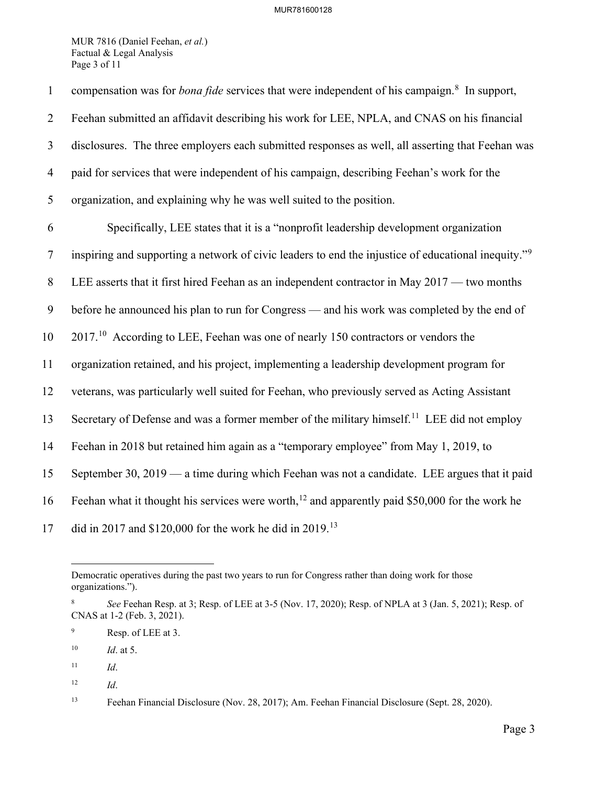MUR 7816 (Daniel Feehan, *et al.*) Factual & Legal Analysis Page 3 of 11

| $\mathbf{1}$   | compensation was for <i>bona fide</i> services that were independent of his campaign. <sup>8</sup> In support,  |
|----------------|-----------------------------------------------------------------------------------------------------------------|
| $\overline{2}$ | Feehan submitted an affidavit describing his work for LEE, NPLA, and CNAS on his financial                      |
| 3              | disclosures. The three employers each submitted responses as well, all asserting that Feehan was                |
| $\overline{4}$ | paid for services that were independent of his campaign, describing Feehan's work for the                       |
| 5              | organization, and explaining why he was well suited to the position.                                            |
| 6              | Specifically, LEE states that it is a "nonprofit leadership development organization                            |
| $\tau$         | inspiring and supporting a network of civic leaders to end the injustice of educational inequity." <sup>9</sup> |
| 8              | LEE asserts that it first hired Feehan as an independent contractor in May 2017 — two months                    |
| 9              | before he announced his plan to run for Congress — and his work was completed by the end of                     |
| 10             | $201710$ According to LEE, Feehan was one of nearly 150 contractors or vendors the                              |
| 11             | organization retained, and his project, implementing a leadership development program for                       |
| 12             | veterans, was particularly well suited for Feehan, who previously served as Acting Assistant                    |
| 13             | Secretary of Defense and was a former member of the military himself. <sup>11</sup> LEE did not employ          |
| 14             | Feehan in 2018 but retained him again as a "temporary employee" from May 1, 2019, to                            |
| 15             | September 30, 2019 — a time during which Feehan was not a candidate. LEE argues that it paid                    |
| 16             | Feehan what it thought his services were worth, <sup>12</sup> and apparently paid \$50,000 for the work he      |
| 17             | did in 2017 and \$120,000 for the work he did in 2019. <sup>13</sup>                                            |

Democratic operatives during the past two years to run for Congress rather than doing work for those organizations.").

<span id="page-3-0"></span><sup>8</sup> *See* Feehan Resp. at 3; Resp. of LEE at 3-5 (Nov. 17, 2020); Resp. of NPLA at 3 (Jan. 5, 2021); Resp. of CNAS at 1-2 (Feb. 3, 2021).

<span id="page-3-1"></span><sup>9</sup> Resp. of LEE at 3.

<span id="page-3-2"></span><sup>10</sup> *Id*. at 5.

<span id="page-3-3"></span> $11$  *Id.* 

<span id="page-3-4"></span><sup>12</sup> *Id*.

<span id="page-3-5"></span><sup>13</sup> Feehan Financial Disclosure (Nov. 28, 2017); Am. Feehan Financial Disclosure (Sept. 28, 2020).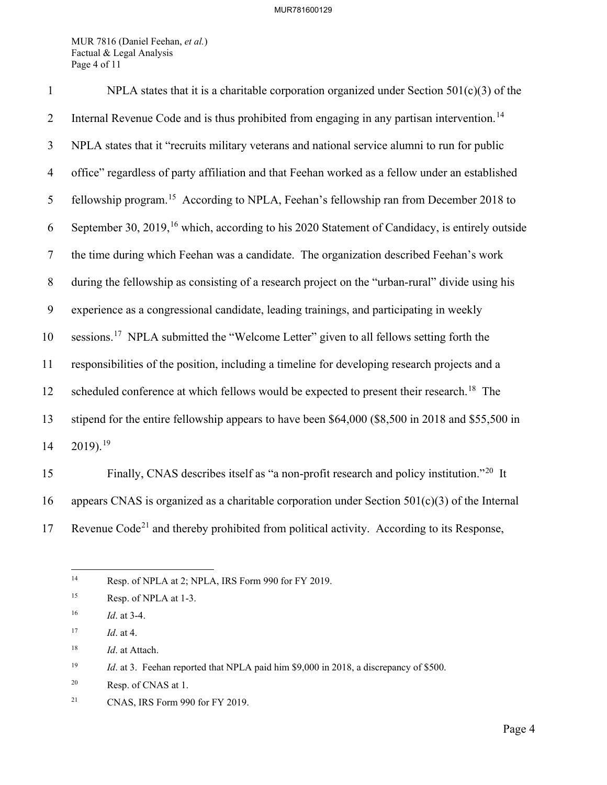MUR 7816 (Daniel Feehan, *et al.*) Factual & Legal Analysis Page 4 of 11

| $\mathbf{1}$   | NPLA states that it is a charitable corporation organized under Section $501(c)(3)$ of the                 |
|----------------|------------------------------------------------------------------------------------------------------------|
| $\overline{2}$ | Internal Revenue Code and is thus prohibited from engaging in any partisan intervention. <sup>14</sup>     |
| 3              | NPLA states that it "recruits military veterans and national service alumni to run for public              |
| $\overline{4}$ | office" regardless of party affiliation and that Feehan worked as a fellow under an established            |
| 5              | fellowship program. <sup>15</sup> According to NPLA, Feehan's fellowship ran from December 2018 to         |
| 6              | September 30, 2019, <sup>16</sup> which, according to his 2020 Statement of Candidacy, is entirely outside |
| $\tau$         | the time during which Feehan was a candidate. The organization described Feehan's work                     |
| 8              | during the fellowship as consisting of a research project on the "urban-rural" divide using his            |
| 9              | experience as a congressional candidate, leading trainings, and participating in weekly                    |
| 10             | sessions. <sup>17</sup> NPLA submitted the "Welcome Letter" given to all fellows setting forth the         |
| 11             | responsibilities of the position, including a timeline for developing research projects and a              |
| 12             | scheduled conference at which fellows would be expected to present their research. <sup>18</sup> The       |
| 13             | stipend for the entire fellowship appears to have been \$64,000 (\$8,500 in 2018 and \$55,500 in           |
| 14             | $2019$ . <sup>19</sup>                                                                                     |
| 15             | Finally CNAS describes itself as "a non-profit research and policy institution $^{220}$ It                 |

Finally, CNAS describes itself as "a non-profit research and policy institution."[20](#page-4-6) 15 It 16 appears CNAS is organized as a charitable corporation under Section  $501(c)(3)$  of the Internal 17 Revenue Code<sup>[21](#page-4-7)</sup> and thereby prohibited from political activity. According to its Response,

<span id="page-4-0"></span><sup>&</sup>lt;sup>14</sup> Resp. of NPLA at 2; NPLA, IRS Form 990 for FY 2019.

<span id="page-4-1"></span><sup>&</sup>lt;sup>15</sup> Resp. of NPLA at 1-3.

<span id="page-4-2"></span><sup>16</sup> *Id*. at 3-4.

<span id="page-4-3"></span><sup>17</sup> *Id*. at 4.

<span id="page-4-4"></span><sup>18</sup> *Id*. at Attach.

<span id="page-4-5"></span><sup>&</sup>lt;sup>19</sup> *Id.* at 3. Feehan reported that NPLA paid him \$9,000 in 2018, a discrepancy of \$500.

<span id="page-4-6"></span><sup>20</sup> Resp. of CNAS at 1.

<span id="page-4-7"></span><sup>21</sup> CNAS, IRS Form 990 for FY 2019.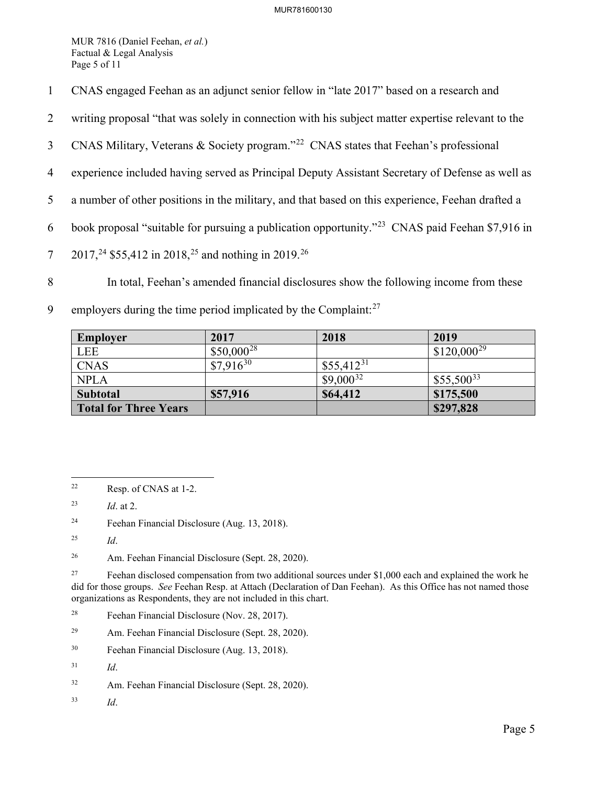MUR 7816 (Daniel Feehan, *et al.*) Factual & Legal Analysis Page 5 of 11

- 1 CNAS engaged Feehan as an adjunct senior fellow in "late 2017" based on a research and
- 2 writing proposal "that was solely in connection with his subject matter expertise relevant to the
- 3 CNAS Military, Veterans & Society program."<sup>[22](#page-5-0)</sup> CNAS states that Feehan's professional
- 4 experience included having served as Principal Deputy Assistant Secretary of Defense as well as
- 5 a number of other positions in the military, and that based on this experience, Feehan drafted a
- 6 book proposal "suitable for pursuing a publication opportunity."<sup>[23](#page-5-1)</sup> CNAS paid Feehan \$7,916 in
- 7 2017,<sup>24</sup> \$55,412 in 2018,<sup>[25](#page-5-3)</sup> and nothing in 2019.<sup>[26](#page-5-4)</sup>
- 8 In total, Feehan's amended financial disclosures show the following income from these
- 9 employers during the time period implicated by the Complaint: $27$

| <b>Employer</b>              | 2017            | 2018           | 2019            |
|------------------------------|-----------------|----------------|-----------------|
| <b>LEE</b>                   | $$50,000^{28}$$ |                | $$120,000^{29}$ |
| <b>CNAS</b>                  | $$7,916^{30}$   | $$55,412^{31}$ |                 |
| <b>NPLA</b>                  |                 | $$9,000^{32}$  | $$55,500^{33}$  |
| Subtotal                     | \$57,916        | \$64,412       | \$175,500       |
| <b>Total for Three Years</b> |                 |                | \$297,828       |

<span id="page-5-2"></span>24 Feehan Financial Disclosure (Aug. 13, 2018).

- <span id="page-5-7"></span>29 Am. Feehan Financial Disclosure (Sept. 28, 2020).
- <span id="page-5-8"></span>30 Feehan Financial Disclosure (Aug. 13, 2018).

<span id="page-5-11"></span>33 *Id*.

<span id="page-5-0"></span><sup>22</sup> Resp. of CNAS at 1-2.

<span id="page-5-1"></span><sup>23</sup> *Id*. at 2.

<span id="page-5-3"></span><sup>25</sup> *Id*.

<span id="page-5-4"></span><sup>26</sup> Am. Feehan Financial Disclosure (Sept. 28, 2020).

<span id="page-5-5"></span><sup>&</sup>lt;sup>27</sup> Feehan disclosed compensation from two additional sources under \$1,000 each and explained the work he did for those groups. *See* Feehan Resp. at Attach (Declaration of Dan Feehan). As this Office has not named those organizations as Respondents, they are not included in this chart.

<span id="page-5-6"></span><sup>28</sup> Feehan Financial Disclosure (Nov. 28, 2017).

<span id="page-5-9"></span><sup>31</sup> *Id*.

<span id="page-5-10"></span><sup>32</sup> Am. Feehan Financial Disclosure (Sept. 28, 2020).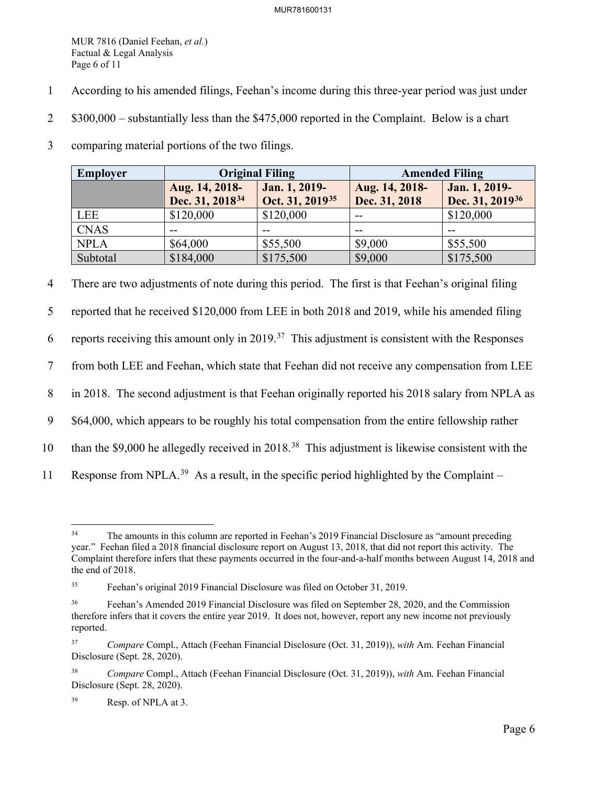MUR 7816 (Daniel Feehan, *et al.*) Factual & Legal Analysis Page 6 of 11

- 1 According to his amended filings, Feehan's income during this three-year period was just under
- 2 \$300,000 substantially less than the \$475,000 reported in the Complaint. Below is a chart
- 3 comparing material portions of the two filings.

| Employer    | <b>Original Filing</b>                        |                                              | <b>Amended Filing</b>           |                                              |
|-------------|-----------------------------------------------|----------------------------------------------|---------------------------------|----------------------------------------------|
|             | Aug. 14, 2018-<br>Dec. 31, 2018 <sup>34</sup> | Jan. 1, 2019-<br>Oct. 31, 2019 <sup>35</sup> | Aug. 14, 2018-<br>Dec. 31, 2018 | Jan. 1, 2019-<br>Dec. 31, 2019 <sup>36</sup> |
| LEE         | \$120,000                                     | \$120,000                                    | $- -$                           | \$120,000                                    |
| <b>CNAS</b> | --                                            |                                              | --                              |                                              |
| <b>NPLA</b> | \$64,000                                      | \$55,500                                     | \$9,000                         | \$55,500                                     |
| Subtotal    | \$184,000                                     | \$175,500                                    | \$9,000                         | \$175,500                                    |

4 There are two adjustments of note during this period. The first is that Feehan's original filing

5 reported that he received \$120,000 from LEE in both 2018 and 2019, while his amended filing

6 reports receiving this amount only in 2019.<sup>37</sup> This adjustment is consistent with the Responses

7 from both LEE and Feehan, which state that Feehan did not receive any compensation from LEE

8 in 2018. The second adjustment is that Feehan originally reported his 2018 salary from NPLA as

9 \$64,000, which appears to be roughly his total compensation from the entire fellowship rather

- 10 than the \$9,000 he allegedly received in 2018.<sup>[38](#page-6-4)</sup> This adjustment is likewise consistent with the
- 11 Response from NPLA.<sup>[39](#page-6-5)</sup> As a result, in the specific period highlighted by the Complaint –

<span id="page-6-0"></span><sup>&</sup>lt;sup>34</sup> The amounts in this column are reported in Feehan's 2019 Financial Disclosure as "amount preceding" year." Feehan filed a 2018 financial disclosure report on August 13, 2018, that did not report this activity. The Complaint therefore infers that these payments occurred in the four-and-a-half months between August 14, 2018 and the end of 2018.

<span id="page-6-1"></span><sup>35</sup> Feehan's original 2019 Financial Disclosure was filed on October 31, 2019.

<span id="page-6-2"></span><sup>&</sup>lt;sup>36</sup> Feehan's Amended 2019 Financial Disclosure was filed on September 28, 2020, and the Commission therefore infers that it covers the entire year 2019. It does not, however, report any new income not previously reported.

<span id="page-6-3"></span><sup>37</sup> *Compare* Compl., Attach (Feehan Financial Disclosure (Oct. 31, 2019)), *with* Am. Feehan Financial Disclosure (Sept. 28, 2020).

<span id="page-6-4"></span><sup>38</sup> *Compare* Compl., Attach (Feehan Financial Disclosure (Oct. 31, 2019)), *with* Am. Feehan Financial Disclosure (Sept. 28, 2020).

<span id="page-6-5"></span><sup>39</sup> Resp. of NPLA at 3.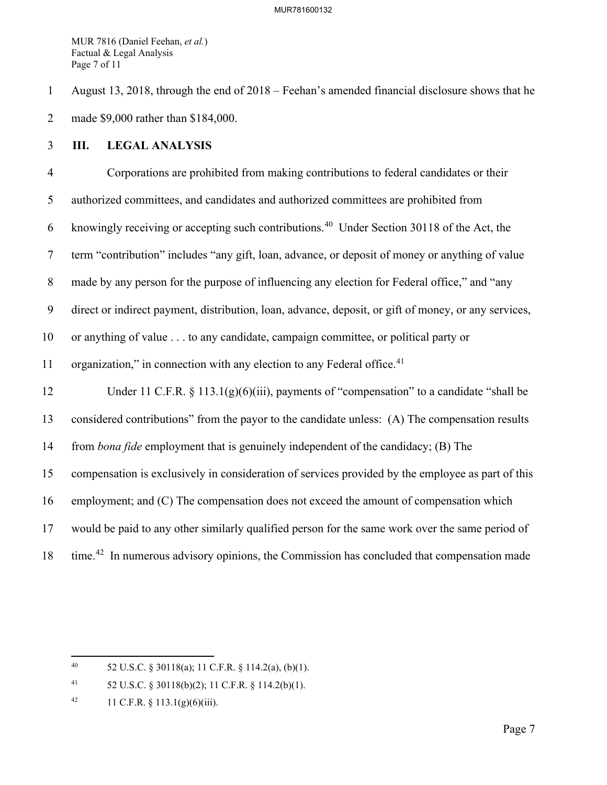MUR 7816 (Daniel Feehan, *et al.*) Factual & Legal Analysis Page 7 of 11

1 August 13, 2018, through the end of 2018 – Feehan's amended financial disclosure shows that he 2 made \$9,000 rather than \$184,000.

## 3 **III. LEGAL ANALYSIS**

4 Corporations are prohibited from making contributions to federal candidates or their 5 authorized committees, and candidates and authorized committees are prohibited from 6 knowingly receiving or accepting such contributions.<sup>[40](#page-7-0)</sup> Under Section 30118 of the Act, the 7 term "contribution" includes "any gift, loan, advance, or deposit of money or anything of value 8 made by any person for the purpose of influencing any election for Federal office," and "any 9 direct or indirect payment, distribution, loan, advance, deposit, or gift of money, or any services, 10 or anything of value . . . to any candidate, campaign committee, or political party or 11 organization," in connection with any election to any Federal office. $41$ 12 Under 11 C.F.R. § 113.1(g)(6)(iii), payments of "compensation" to a candidate "shall be 13 considered contributions" from the payor to the candidate unless: (A) The compensation results 14 from *bona fide* employment that is genuinely independent of the candidacy; (B) The 15 compensation is exclusively in consideration of services provided by the employee as part of this 16 employment; and (C) The compensation does not exceed the amount of compensation which 17 would be paid to any other similarly qualified person for the same work over the same period of 18 time.<sup>[42](#page-7-2)</sup> In numerous advisory opinions, the Commission has concluded that compensation made

<span id="page-7-0"></span><sup>40 52</sup> U.S.C. § 30118(a); 11 C.F.R. § 114.2(a), (b)(1).

<span id="page-7-1"></span><sup>41 52</sup> U.S.C. § 30118(b)(2); 11 C.F.R. § 114.2(b)(1).

<span id="page-7-2"></span><sup>42 11</sup> C.F.R.  $\S$  113.1(g)(6)(iii).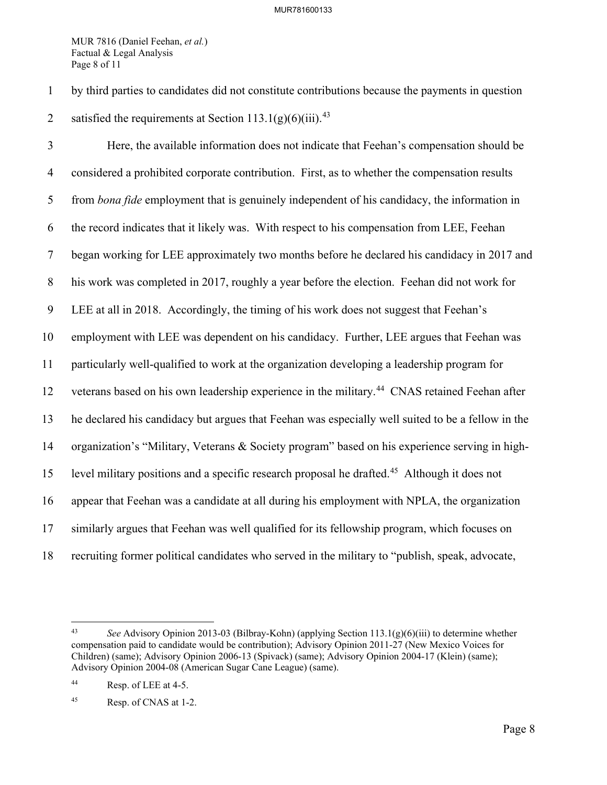MUR 7816 (Daniel Feehan, *et al.*) Factual & Legal Analysis Page 8 of 11

1 by third parties to candidates did not constitute contributions because the payments in question 2 satisfied the requirements at Section  $113.1(g)(6)(iii)$ .<sup>[43](#page-8-0)</sup>

3 Here, the available information does not indicate that Feehan's compensation should be 4 considered a prohibited corporate contribution. First, as to whether the compensation results 5 from *bona fide* employment that is genuinely independent of his candidacy, the information in 6 the record indicates that it likely was. With respect to his compensation from LEE, Feehan 7 began working for LEE approximately two months before he declared his candidacy in 2017 and 8 his work was completed in 2017, roughly a year before the election. Feehan did not work for 9 LEE at all in 2018. Accordingly, the timing of his work does not suggest that Feehan's 10 employment with LEE was dependent on his candidacy. Further, LEE argues that Feehan was 11 particularly well-qualified to work at the organization developing a leadership program for 12 veterans based on his own leadership experience in the military.<sup>[44](#page-8-1)</sup> CNAS retained Feehan after 13 he declared his candidacy but argues that Feehan was especially well suited to be a fellow in the 14 organization's "Military, Veterans & Society program" based on his experience serving in high-15 level military positions and a specific research proposal he drafted.<sup>[45](#page-8-2)</sup> Although it does not 16 appear that Feehan was a candidate at all during his employment with NPLA, the organization 17 similarly argues that Feehan was well qualified for its fellowship program, which focuses on 18 recruiting former political candidates who served in the military to "publish, speak, advocate,

<span id="page-8-0"></span><sup>43</sup> *See* Advisory Opinion 2013-03 (Bilbray-Kohn) (applying Section 113.1(g)(6)(iii) to determine whether compensation paid to candidate would be contribution); Advisory Opinion 2011-27 (New Mexico Voices for Children) (same); Advisory Opinion 2006-13 (Spivack) (same); Advisory Opinion 2004-17 (Klein) (same); Advisory Opinion 2004-08 (American Sugar Cane League) (same).

<span id="page-8-1"></span><sup>44</sup> Resp. of LEE at 4-5.

<span id="page-8-2"></span><sup>45</sup> Resp. of CNAS at 1-2.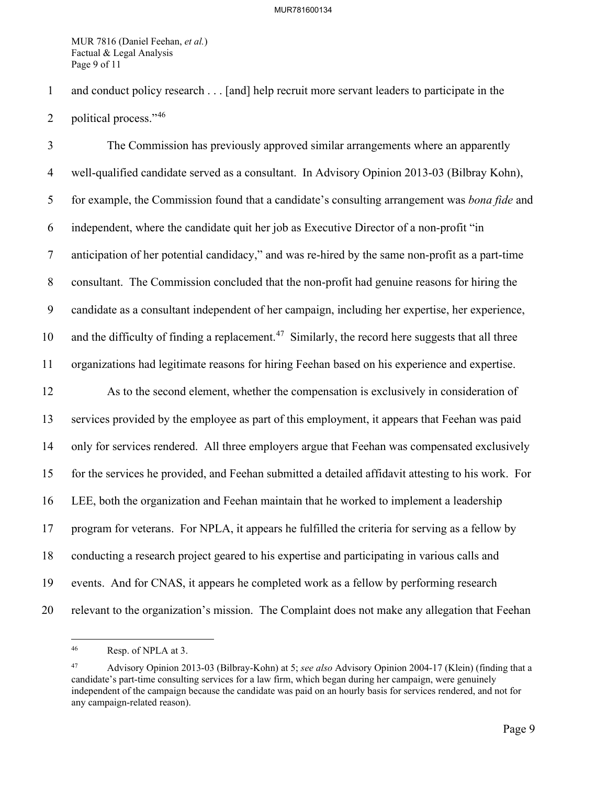MUR 7816 (Daniel Feehan, *et al.*) Factual & Legal Analysis Page 9 of 11

1 and conduct policy research . . . [and] help recruit more servant leaders to participate in the

2 political process." $46$ 

3 The Commission has previously approved similar arrangements where an apparently 4 well-qualified candidate served as a consultant. In Advisory Opinion 2013-03 (Bilbray Kohn), 5 for example, the Commission found that a candidate's consulting arrangement was *bona fide* and 6 independent, where the candidate quit her job as Executive Director of a non-profit "in 7 anticipation of her potential candidacy," and was re-hired by the same non-profit as a part-time 8 consultant. The Commission concluded that the non-profit had genuine reasons for hiring the 9 candidate as a consultant independent of her campaign, including her expertise, her experience, 10 and the difficulty of finding a replacement.<sup>[47](#page-9-1)</sup> Similarly, the record here suggests that all three 11 organizations had legitimate reasons for hiring Feehan based on his experience and expertise. 12 As to the second element, whether the compensation is exclusively in consideration of 13 services provided by the employee as part of this employment, it appears that Feehan was paid 14 only for services rendered. All three employers argue that Feehan was compensated exclusively 15 for the services he provided, and Feehan submitted a detailed affidavit attesting to his work. For 16 LEE, both the organization and Feehan maintain that he worked to implement a leadership 17 program for veterans. For NPLA, it appears he fulfilled the criteria for serving as a fellow by 18 conducting a research project geared to his expertise and participating in various calls and 19 events. And for CNAS, it appears he completed work as a fellow by performing research 20 relevant to the organization's mission. The Complaint does not make any allegation that Feehan

<span id="page-9-0"></span><sup>46</sup> Resp. of NPLA at 3.

<span id="page-9-1"></span><sup>47</sup> Advisory Opinion 2013-03 (Bilbray-Kohn) at 5; *see also* Advisory Opinion 2004-17 (Klein) (finding that a candidate's part-time consulting services for a law firm, which began during her campaign, were genuinely independent of the campaign because the candidate was paid on an hourly basis for services rendered, and not for any campaign-related reason).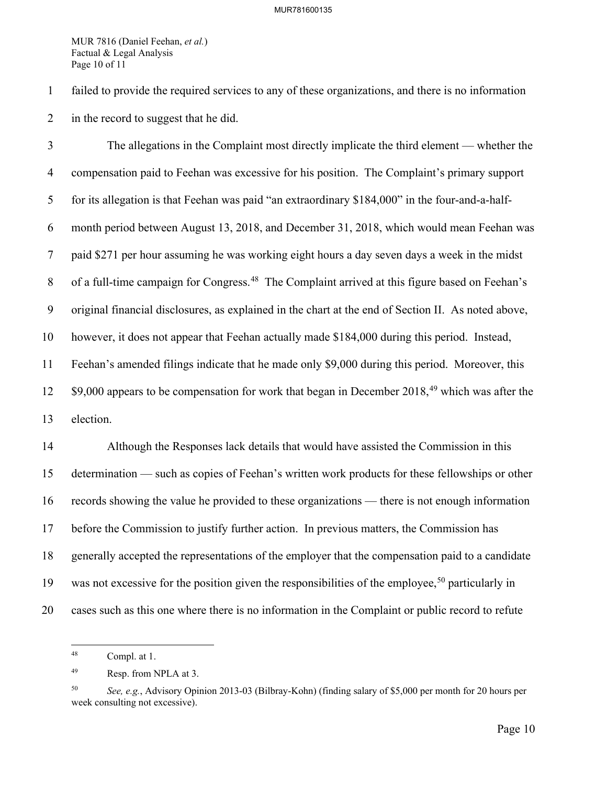MUR 7816 (Daniel Feehan, *et al.*) Factual & Legal Analysis Page 10 of 11

1 failed to provide the required services to any of these organizations, and there is no information 2 in the record to suggest that he did.

3 The allegations in the Complaint most directly implicate the third element — whether the 4 compensation paid to Feehan was excessive for his position. The Complaint's primary support 5 for its allegation is that Feehan was paid "an extraordinary \$184,000" in the four-and-a-half-6 month period between August 13, 2018, and December 31, 2018, which would mean Feehan was 7 paid \$271 per hour assuming he was working eight hours a day seven days a week in the midst 8 of a full-time campaign for Congress.<sup>[48](#page-10-0)</sup> The Complaint arrived at this figure based on Feehan's 9 original financial disclosures, as explained in the chart at the end of Section II. As noted above, 10 however, it does not appear that Feehan actually made \$184,000 during this period. Instead, 11 Feehan's amended filings indicate that he made only \$9,000 during this period. Moreover, this  $12$  \$9,000 appears to be compensation for work that began in December 2018,<sup>[49](#page-10-1)</sup> which was after the 13 election.

14 Although the Responses lack details that would have assisted the Commission in this 15 determination — such as copies of Feehan's written work products for these fellowships or other 16 records showing the value he provided to these organizations — there is not enough information 17 before the Commission to justify further action. In previous matters, the Commission has 18 generally accepted the representations of the employer that the compensation paid to a candidate 19 was not excessive for the position given the responsibilities of the employee,<sup>[50](#page-10-2)</sup> particularly in 20 cases such as this one where there is no information in the Complaint or public record to refute

<span id="page-10-0"></span><sup>48</sup> Compl. at 1.

<span id="page-10-1"></span><sup>49</sup> Resp. from NPLA at 3.

<span id="page-10-2"></span><sup>50</sup> *See, e.g.*, Advisory Opinion 2013-03 (Bilbray-Kohn) (finding salary of \$5,000 per month for 20 hours per week consulting not excessive).